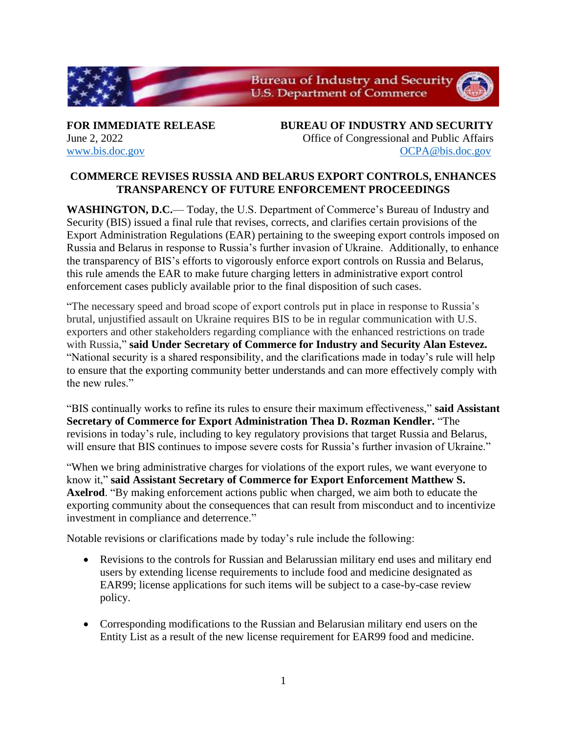

**FOR IMMEDIATE RELEASE BUREAU OF INDUSTRY AND SECURITY** June 2, 2022 Office of Congressional and Public Affairs [www.bis.doc.gov](http://www.bis.doc.gov/) [OCPA@bis.doc.gov](mailto:OCPA@bis.doc.gov)

## **COMMERCE REVISES RUSSIA AND BELARUS EXPORT CONTROLS, ENHANCES TRANSPARENCY OF FUTURE ENFORCEMENT PROCEEDINGS**

**WASHINGTON, D.C.**— Today, the U.S. Department of Commerce's Bureau of Industry and Security (BIS) issued a final rule that revises, corrects, and clarifies certain provisions of the Export Administration Regulations (EAR) pertaining to the sweeping export controls imposed on Russia and Belarus in response to Russia's further invasion of Ukraine. Additionally, to enhance the transparency of BIS's efforts to vigorously enforce export controls on Russia and Belarus, this rule amends the EAR to make future charging letters in administrative export control enforcement cases publicly available prior to the final disposition of such cases.

"The necessary speed and broad scope of export controls put in place in response to Russia's brutal, unjustified assault on Ukraine requires BIS to be in regular communication with U.S. exporters and other stakeholders regarding compliance with the enhanced restrictions on trade with Russia," **said Under Secretary of Commerce for Industry and Security Alan Estevez.** "National security is a shared responsibility, and the clarifications made in today's rule will help to ensure that the exporting community better understands and can more effectively comply with the new rules."

"BIS continually works to refine its rules to ensure their maximum effectiveness," **said Assistant Secretary of Commerce for Export Administration Thea D. Rozman Kendler.** "The revisions in today's rule, including to key regulatory provisions that target Russia and Belarus, will ensure that BIS continues to impose severe costs for Russia's further invasion of Ukraine."

"When we bring administrative charges for violations of the export rules, we want everyone to know it," **said Assistant Secretary of Commerce for Export Enforcement Matthew S. Axelrod**. "By making enforcement actions public when charged, we aim both to educate the exporting community about the consequences that can result from misconduct and to incentivize investment in compliance and deterrence."

Notable revisions or clarifications made by today's rule include the following:

- Revisions to the controls for Russian and Belarussian military end uses and military end users by extending license requirements to include food and medicine designated as EAR99; license applications for such items will be subject to a case-by-case review policy.
- Corresponding modifications to the Russian and Belarusian military end users on the Entity List as a result of the new license requirement for EAR99 food and medicine.